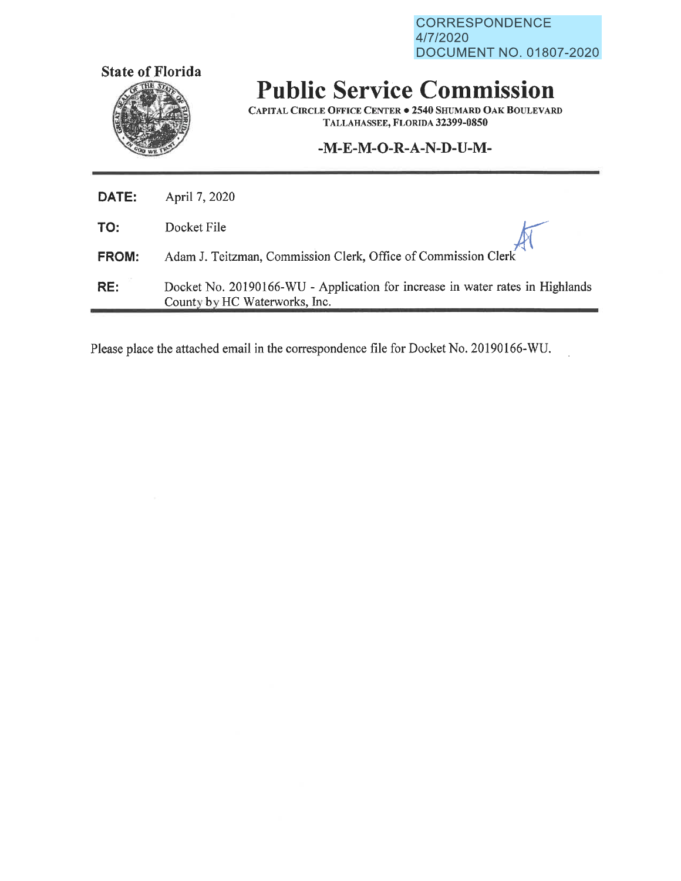**CORRESPONDENCE** 4/7/2020 DOCUMENT NO. 01807-2020



## **Public Service Commission**

**CAPITAL CIRCLE OFFICE CENTER . 2540 SHUMARD OAK BOULEVARD TALLAHASSEE, FLORIDA 32399-0850** 

## **-M-E-M-0-R-A-N-D-U-M-**

| DATE:        | April 7, 2020                                                                                                  |
|--------------|----------------------------------------------------------------------------------------------------------------|
| TO:          | Docket File                                                                                                    |
| <b>FROM:</b> | Adam J. Teitzman, Commission Clerk, Office of Commission Clerk                                                 |
| RE:          | Docket No. 20190166-WU - Application for increase in water rates in Highlands<br>County by HC Waterworks, Inc. |

Please place the attached email in the correspondence file for Docket No. 20190166-WU.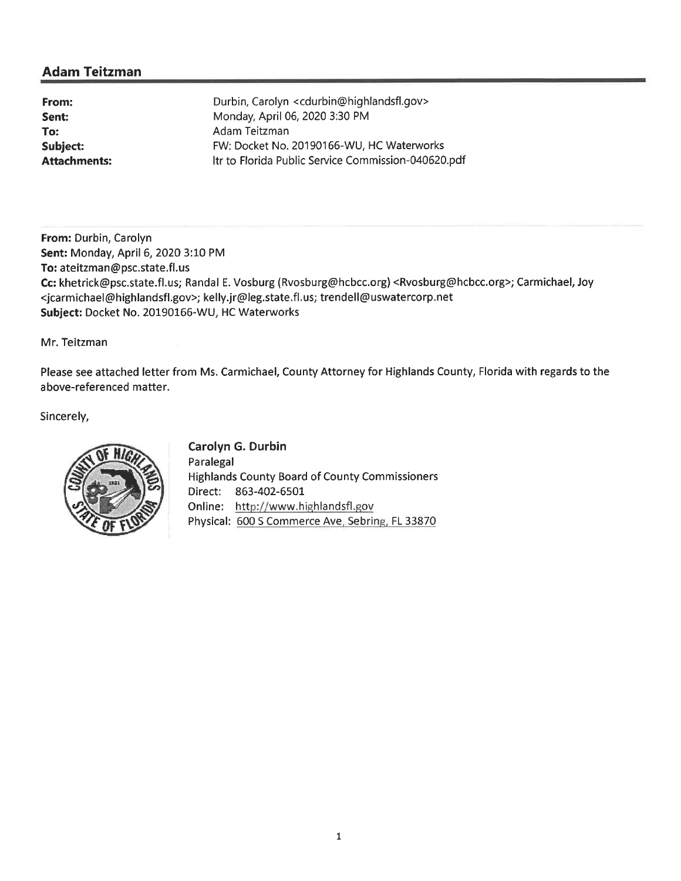## **Adam Teitzman**

**From: Sent: To: Subject: Attachments:** 

Durbin, Carolyn <cdurbin@highlandsfl.gov> Monday, April 06, 2020 3:30 PM Adam Teitzman FW: Docket No. 20190166-WU, HC Waterworks ltr to Florida Public Service Commission-040620.pdf

**From:** Durbin, Carolyn **Sent:** Monday, April 6, 2020 3:10 PM **To:** ateitzman@psc.state.fl.us **Cc:** khetrick@psc.state.fl.us; Randal E. Vosburg (Rvosburg@hcbcc.org) <Rvosburg@hcbcc.org>; Carmichael, Joy <jcarmichael@highlandsfl.gov>; kelly.jr@leg.state.fl.us; trendell@uswatercorp.net **Subject:** Docket No. 20190166-WU, HC Waterworks

Mr. Teitzman

Please see attached letter from Ms. Carmichael, County Attorney for Highlands County, Florida with regards to the above-referenced matter.

Sincerely,



**Carolyn G. Durbin**  Paralegal Highlands County Board of County Commissioners Direct: 863-402-6501 Online: http://www.highlandsfl.gov Physical: 600 S Commerce Ave, Sebring, FL 33870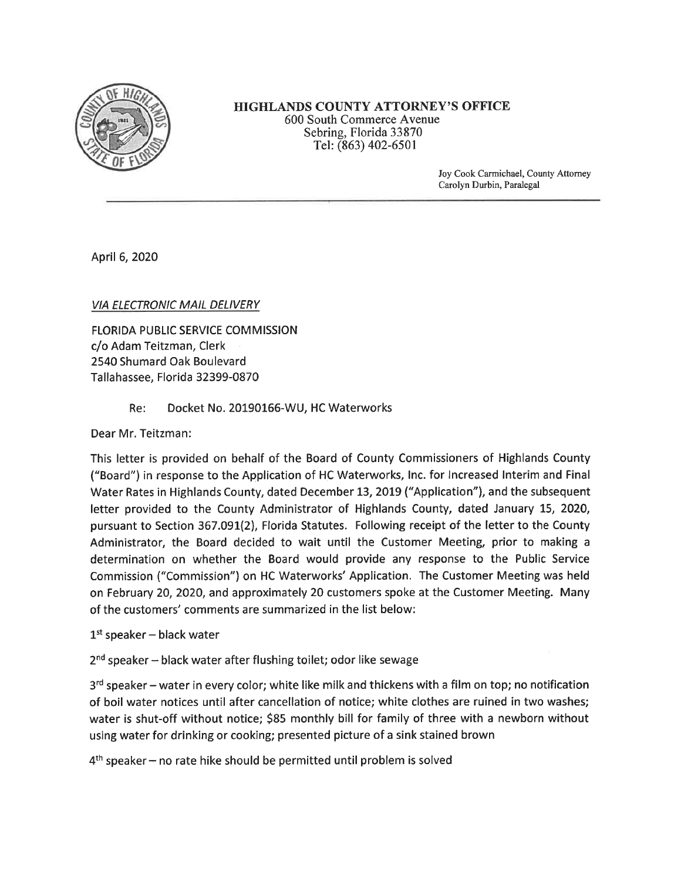

**HIGHLANDS COUNTY ATTORNEY'S OFFICE**  600 South Commerce A venue Sebring, Florida 33870 Tel: (863) 402-6501

> Joy Cook Carmichael, County Attorney Carolyn Durbin, Paralegal

April 6, 2020

VIA ELECTRONIC MAIL DELIVERY

FLORIDA PUBLIC SERVICE COMMISSION c/o Adam Teitzman, Clerk 2540 Shumard Oak Boulevard Tallahassee, Florida 32399-0870

Re: Docket No. 20190166-WU, HC Waterworks

Dear Mr. Teitzman:

This letter is provided on behalf of the Board of County Commissioners of Highlands County ("Board") in response to the Application of HC Waterworks, Inc. for Increased Interim and Final Water Rates in Highlands County, dated December 13, 2019 ("Application"), and the subsequent letter provided to the County Administrator of Highlands County, dated January 15, 2020, pursuant to Section 367.091(2), Florida Statutes. Following receipt of the letter to the County Administrator, the Board decided to wait until the Customer Meeting, prior to making a determination on whether the Board would provide any response to the Public Service Commission ("Commission") on HC Waterworks' Application. The Customer Meeting was held on February 20, 2020, and approximately 20 customers spoke at the Customer Meeting. Many of the customers' comments are summarized in the list below:

 $1<sup>st</sup>$  speaker – black water

 $2<sup>nd</sup> speaker – black water after fluxhing toilet; odor like sewage$ 

 $3<sup>rd</sup>$  speaker – water in every color; white like milk and thickens with a film on top; no notification of boil water notices until after cancellation of notice; white clothes are ruined in two washes; water is shut-off without notice; \$85 monthly bill for family of three with a newborn without using water for drinking or cooking; presented picture of a sink stained brown

 $4<sup>th</sup>$  speaker – no rate hike should be permitted until problem is solved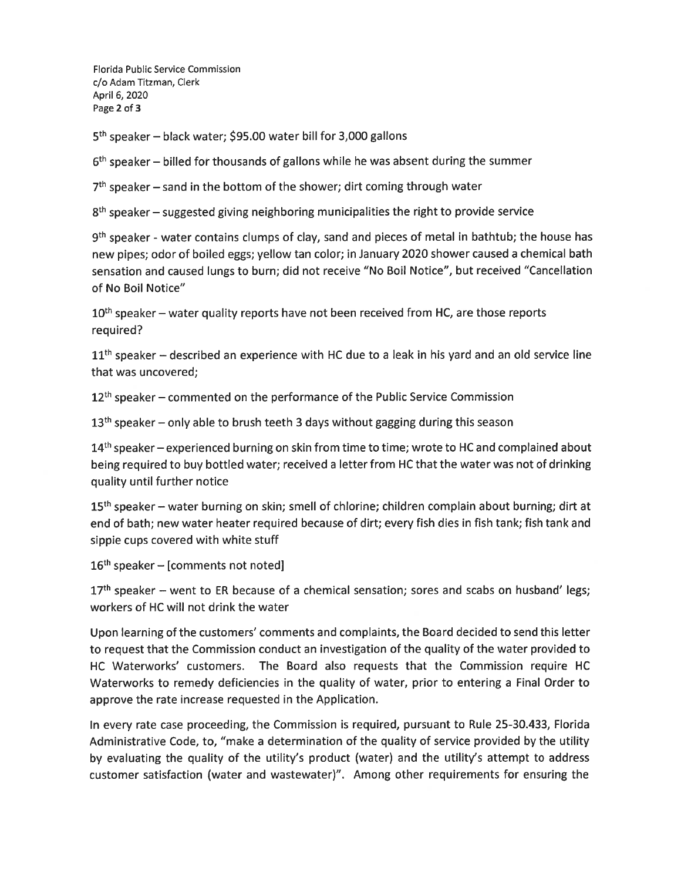Florida Public Service Commission c/o Adam Titzman, Clerk April 6, 2020 Page **2** of **3** 

5<sup>th</sup> speaker - black water; \$95.00 water bill for 3,000 gallons

 $6<sup>th</sup>$  speaker – billed for thousands of gallons while he was absent during the summer

 $7<sup>th</sup>$  speaker – sand in the bottom of the shower; dirt coming through water

 $8<sup>th</sup>$  speaker – suggested giving neighboring municipalities the right to provide service

9<sup>th</sup> speaker - water contains clumps of clay, sand and pieces of metal in bathtub; the house has new pipes; odor of boiled eggs; yellow tan color; in January 2020 shower caused a chemical bath sensation and caused lungs to burn; did not receive "No Boil Notice", but received "Cancellation of No Boil Notice"

 $10<sup>th</sup>$  speaker – water quality reports have not been received from HC, are those reports required?

 $11<sup>th</sup>$  speaker – described an experience with HC due to a leak in his yard and an old service line that was uncovered;

 $12<sup>th</sup>$  speaker – commented on the performance of the Public Service Commission

 $13<sup>th</sup>$  speaker – only able to brush teeth 3 days without gagging during this season

 $14<sup>th</sup>$  speaker – experienced burning on skin from time to time; wrote to HC and complained about being required to buy bottled water; received a letter from HC that the water was not of drinking quality until further notice

15<sup>th</sup> speaker - water burning on skin; smell of chlorine; children complain about burning; dirt at end of bath; new water heater required because of dirt; every fish dies in fish tank; fish tank and sippie cups covered with white stuff

 $16<sup>th</sup> speaker - [comments not noted]$ 

 $17<sup>th</sup>$  speaker – went to ER because of a chemical sensation; sores and scabs on husband' legs; workers of HC will not drink the water

Upon learning of the customers' comments and complaints, the Board decided to send this letter to request that the Commission conduct an investigation of the quality of the water provided to HC Waterworks' customers. The Board also requests that the Commission require HC Waterworks to remedy deficiencies in the quality of water, prior to entering a Final Order to approve the rate increase requested in the Application.

In every rate case proceeding, the Commission is required, pursuant to Rule 25-30.433, Florida Administrative Code, to, "make a determination of the quality of service provided by the utility by evaluating the quality of the utility's product (water) and the utility's attempt to address customer satisfaction (water and wastewater)". Among other requirements for ensuring the